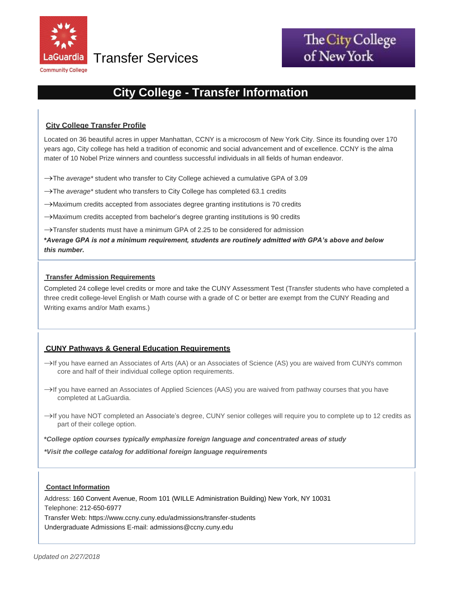

Transfer Services **of New York** 

# **City College - Transfer Information**

# **City College Transfer Profile**

Located on 36 beautiful acres in upper Manhattan, CCNY is a microcosm of New York City. Since its founding over 170 years ago, City college has held a tradition of economic and social advancement and of excellence. CCNY is the alma mater of 10 Nobel Prize winners and countless successful individuals in all fields of human endeavor.

→The *average* \* student who transfer to City College achieved a cumulative GPA of 3.09

- → The *average* \* student who transfers to City College has completed 63.1 credits
- $\rightarrow$ Maximum credits accepted from associates degree granting institutions is 70 credits

Maximum credits accepted from bachelor's degree granting institutions is 90 credits

 $\rightarrow$ Transfer students must have a minimum GPA of 2.25 to be considered for admission

 **\****Average GPA is not a minimum requirement, students are routinely admitted with GPA's above and below this number.* 

#### **Transfer Admission Requirements**

Completed 24 college level credits or more and take the CUNY Assessment Test (Transfer students who have completed a three credit college-level English or Math course with a grade of C or better are exempt from the CUNY Reading and Writing exams and/or Math exams.)

### **CUNY Pathways & General Education Requirements**

- $\rightarrow$  If you have earned an Associates of Arts (AA) or an Associates of Science (AS) you are waived from CUNYs common core and half of their individual college option requirements.
- $\rightarrow$ If you have earned an Associates of Applied Sciences (AAS) you are waived from pathway courses that you have completed at LaGuardia.
- $\rightarrow$  If you have NOT completed an Associate's degree, CUNY senior colleges will require you to complete up to 12 credits as part of their college option.

**\****College option courses typically emphasize foreign language and concentrated areas of study*

*\*Visit the college catalog for additional foreign language requirements*

### **Contact Information**

Address: 160 Convent Avenue, Room 101 (WILLE Administration Building) New York, NY 10031 Telephone: 212-650-6977 Transfer Web: http[s://www.ccny.cuny.edu/admissions/transfer-students](http://www.ccny.cuny.edu/admissions/transfer-students)  Undergraduate Admissions E-mail: [admissions@ccny.cuny.edu](mailto:undergraduate.admissions@lehman.cuny.edu)